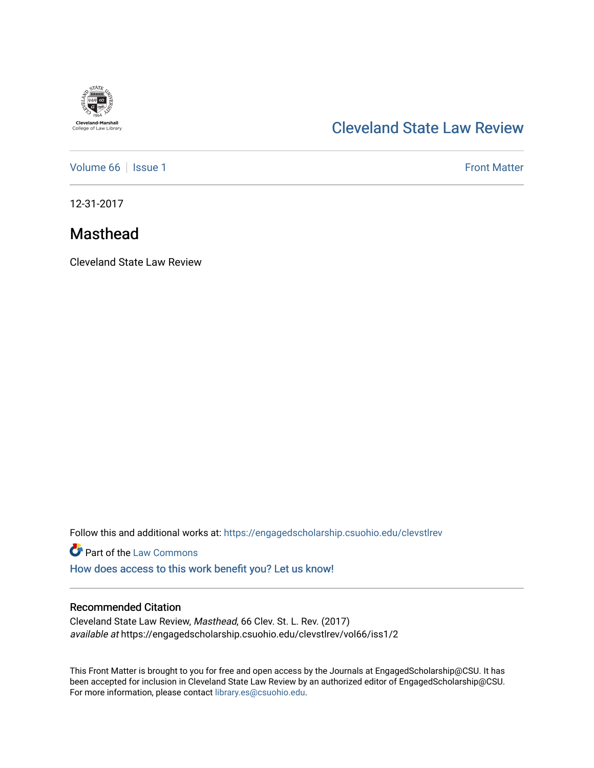

## [Cleveland State Law Review](https://engagedscholarship.csuohio.edu/clevstlrev)

[Volume 66](https://engagedscholarship.csuohio.edu/clevstlrev/vol66) | [Issue 1](https://engagedscholarship.csuohio.edu/clevstlrev/vol66/iss1) Front Matter

12-31-2017

## Masthead

Cleveland State Law Review

Follow this and additional works at: [https://engagedscholarship.csuohio.edu/clevstlrev](https://engagedscholarship.csuohio.edu/clevstlrev?utm_source=engagedscholarship.csuohio.edu%2Fclevstlrev%2Fvol66%2Fiss1%2F2&utm_medium=PDF&utm_campaign=PDFCoverPages)

**Part of the [Law Commons](http://network.bepress.com/hgg/discipline/578?utm_source=engagedscholarship.csuohio.edu%2Fclevstlrev%2Fvol66%2Fiss1%2F2&utm_medium=PDF&utm_campaign=PDFCoverPages)** 

[How does access to this work benefit you? Let us know!](http://library.csuohio.edu/engaged/)

#### Recommended Citation

Cleveland State Law Review, Masthead, 66 Clev. St. L. Rev. (2017) available at https://engagedscholarship.csuohio.edu/clevstlrev/vol66/iss1/2

This Front Matter is brought to you for free and open access by the Journals at EngagedScholarship@CSU. It has been accepted for inclusion in Cleveland State Law Review by an authorized editor of EngagedScholarship@CSU. For more information, please contact [library.es@csuohio.edu.](mailto:library.es@csuohio.edu)